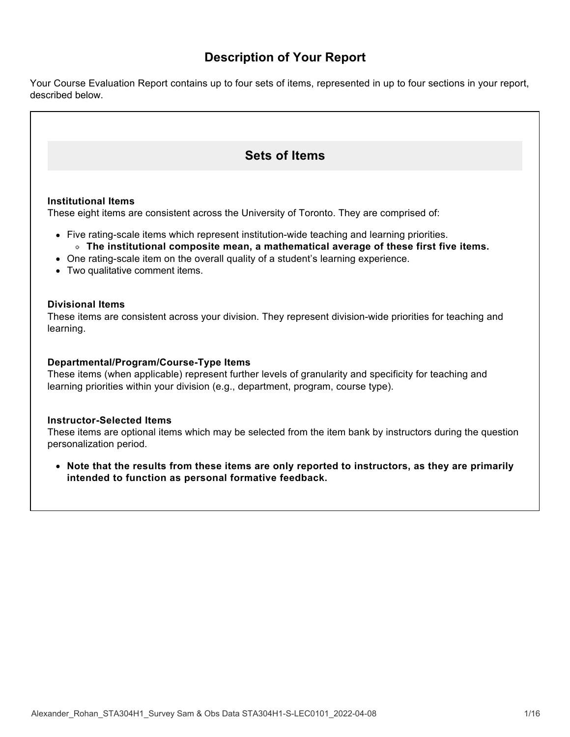# **Description of Your Report**

Your Course Evaluation Report contains up to four sets of items, represented in up to four sections in your report, described below.

# **Sets of Items**

#### **Institutional Items**

These eight items are consistent across the University of Toronto. They are comprised of:

- Five rating-scale items which represent institution-wide teaching and learning priorities. **The institutional composite mean, a mathematical average of these first five items.**
- One rating-scale item on the overall quality of a student's learning experience.
- Two qualitative comment items.

#### **Divisional Items**

These items are consistent across your division. They represent division-wide priorities for teaching and learning.

#### **Departmental/Program/Course-Type Items**

These items (when applicable) represent further levels of granularity and specificity for teaching and learning priorities within your division (e.g., department, program, course type).

#### **Instructor-Selected Items**

These items are optional items which may be selected from the item bank by instructors during the question personalization period.

**Note that the results from these items are only reported to instructors, as they are primarily intended to function as personal formative feedback.**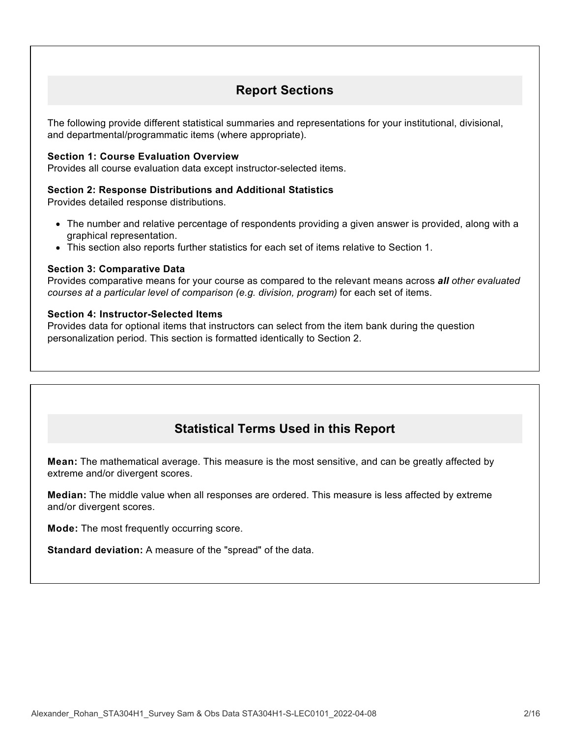# **Report Sections**

The following provide different statistical summaries and representations for your institutional, divisional, and departmental/programmatic items (where appropriate).

### **Section 1: Course Evaluation Overview**

Provides all course evaluation data except instructor-selected items.

#### **Section 2: Response Distributions and Additional Statistics**

Provides detailed response distributions.

- The number and relative percentage of respondents providing a given answer is provided, along with a graphical representation.
- This section also reports further statistics for each set of items relative to Section 1.

#### **Section 3: Comparative Data**

Provides comparative means for your course as compared to the relevant means across *all other evaluated courses at a particular level of comparison (e.g. division, program)* for each set of items.

#### **Section 4: Instructor-Selected Items**

Provides data for optional items that instructors can select from the item bank during the question personalization period. This section is formatted identically to Section 2.

# **Statistical Terms Used in this Report**

**Mean:** The mathematical average. This measure is the most sensitive, and can be greatly affected by extreme and/or divergent scores.

**Median:** The middle value when all responses are ordered. This measure is less affected by extreme and/or divergent scores.

**Mode:** The most frequently occurring score.

**Standard deviation:** A measure of the "spread" of the data.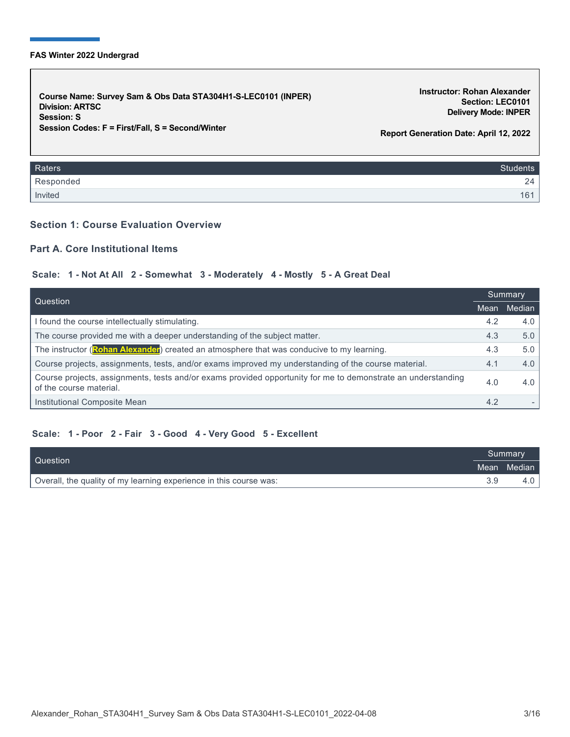#### **FAS Winter 2022 Undergrad**

**Course Name: Survey Sam & Obs Data STA304H1-S-LEC0101 (INPER) Division: ARTSC Session: S Session Codes: F = First/Fall, S = Second/Winter Instructor: Rohan Alexander Section: LEC0101 Delivery Mode: INPER Report Generation Date: April 12, 2022**

| Raters    | <b>Students</b> |
|-----------|-----------------|
| Responded |                 |
| Invited   | . L             |

### **Section 1: Course Evaluation Overview**

## **Part A. Core Institutional Items**

#### **Scale: 1 - Not At All 2 - Somewhat 3 - Moderately 4 - Mostly 5 - A Great Deal**

| Question                                                                                                                                |      | Summary |  |
|-----------------------------------------------------------------------------------------------------------------------------------------|------|---------|--|
|                                                                                                                                         | Mean | Median  |  |
| I found the course intellectually stimulating.                                                                                          | 4.2  | 4.0     |  |
| The course provided me with a deeper understanding of the subject matter.                                                               | 4.3  | 5.0     |  |
| The instructor (Rohan Alexander) created an atmosphere that was conducive to my learning.                                               | 4.3  | 5.0     |  |
| Course projects, assignments, tests, and/or exams improved my understanding of the course material.                                     | 4.1  | 4.0     |  |
| Course projects, assignments, tests and/or exams provided opportunity for me to demonstrate an understanding<br>of the course material. | 4.0  | 4.0     |  |
| Institutional Composite Mean                                                                                                            | 4.2  |         |  |

#### **Scale: 1 - Poor 2 - Fair 3 - Good 4 - Very Good 5 - Excellent**

| Question                                                           | <b>I</b> Summary |  |
|--------------------------------------------------------------------|------------------|--|
|                                                                    | Mean Median      |  |
| Overall, the quality of my learning experience in this course was: |                  |  |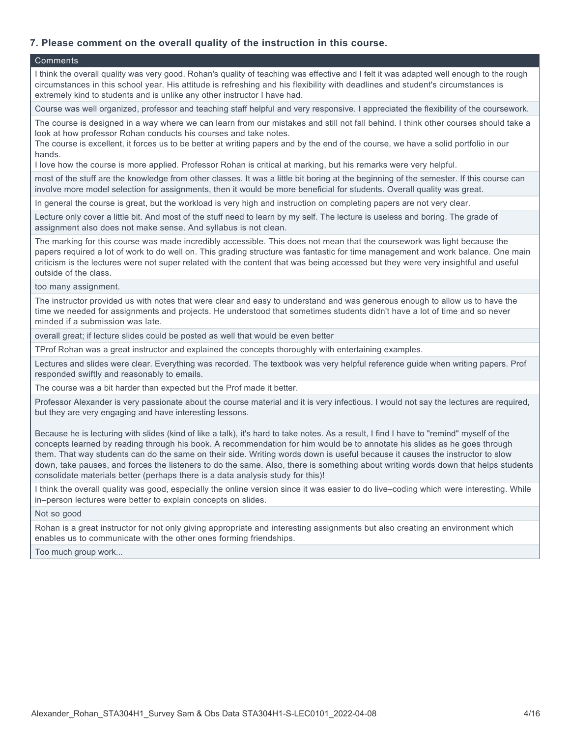## **7. Please comment on the overall quality of the instruction in this course.**

#### **Comments**

I think the overall quality was very good. Rohan's quality of teaching was effective and I felt it was adapted well enough to the rough circumstances in this school year. His attitude is refreshing and his flexibility with deadlines and student's circumstances is extremely kind to students and is unlike any other instructor I have had.

Course was well organized, professor and teaching staff helpful and very responsive. I appreciated the flexibility of the coursework.

The course is designed in a way where we can learn from our mistakes and still not fall behind. I think other courses should take a look at how professor Rohan conducts his courses and take notes.

The course is excellent, it forces us to be better at writing papers and by the end of the course, we have a solid portfolio in our hands.

I love how the course is more applied. Professor Rohan is critical at marking, but his remarks were very helpful.

most of the stuff are the knowledge from other classes. It was a little bit boring at the beginning of the semester. If this course can involve more model selection for assignments, then it would be more beneficial for students. Overall quality was great.

In general the course is great, but the workload is very high and instruction on completing papers are not very clear.

Lecture only cover a little bit. And most of the stuff need to learn by my self. The lecture is useless and boring. The grade of assignment also does not make sense. And syllabus is not clean.

The marking for this course was made incredibly accessible. This does not mean that the coursework was light because the papers required a lot of work to do well on. This grading structure was fantastic for time management and work balance. One main criticism is the lectures were not super related with the content that was being accessed but they were very insightful and useful outside of the class.

too many assignment.

The instructor provided us with notes that were clear and easy to understand and was generous enough to allow us to have the time we needed for assignments and projects. He understood that sometimes students didn't have a lot of time and so never minded if a submission was late.

overall great; if lecture slides could be posted as well that would be even better

TProf Rohan was a great instructor and explained the concepts thoroughly with entertaining examples.

Lectures and slides were clear. Everything was recorded. The textbook was very helpful reference guide when writing papers. Prof responded swiftly and reasonably to emails.

The course was a bit harder than expected but the Prof made it better.

Professor Alexander is very passionate about the course material and it is very infectious. I would not say the lectures are required, but they are very engaging and have interesting lessons.

Because he is lecturing with slides (kind of like a talk), it's hard to take notes. As a result, I find I have to "remind" myself of the concepts learned by reading through his book. A recommendation for him would be to annotate his slides as he goes through them. That way students can do the same on their side. Writing words down is useful because it causes the instructor to slow down, take pauses, and forces the listeners to do the same. Also, there is something about writing words down that helps students consolidate materials better (perhaps there is a data analysis study for this)!

I think the overall quality was good, especially the online version since it was easier to do live–coding which were interesting. While in–person lectures were better to explain concepts on slides.

Not so good

Rohan is a great instructor for not only giving appropriate and interesting assignments but also creating an environment which enables us to communicate with the other ones forming friendships.

Too much group work...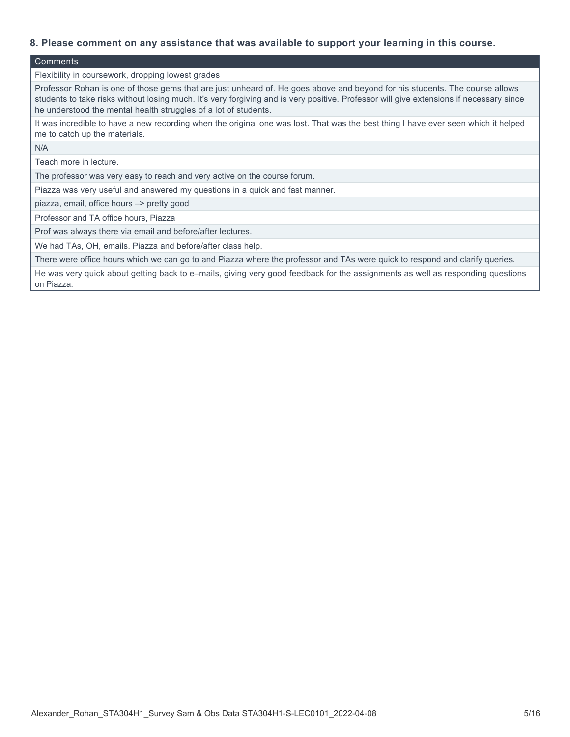#### **8. Please comment on any assistance that was available to support your learning in this course.**

#### **Comments**

Flexibility in coursework, dropping lowest grades

Professor Rohan is one of those gems that are just unheard of. He goes above and beyond for his students. The course allows students to take risks without losing much. It's very forgiving and is very positive. Professor will give extensions if necessary since he understood the mental health struggles of a lot of students.

It was incredible to have a new recording when the original one was lost. That was the best thing I have ever seen which it helped me to catch up the materials.

#### N/A

Teach more in lecture.

The professor was very easy to reach and very active on the course forum.

Piazza was very useful and answered my questions in a quick and fast manner.

piazza, email, office hours –> pretty good

Professor and TA office hours, Piazza

Prof was always there via email and before/after lectures.

We had TAs, OH, emails. Piazza and before/after class help.

There were office hours which we can go to and Piazza where the professor and TAs were quick to respond and clarify queries.

He was very quick about getting back to e–mails, giving very good feedback for the assignments as well as responding questions on Piazza.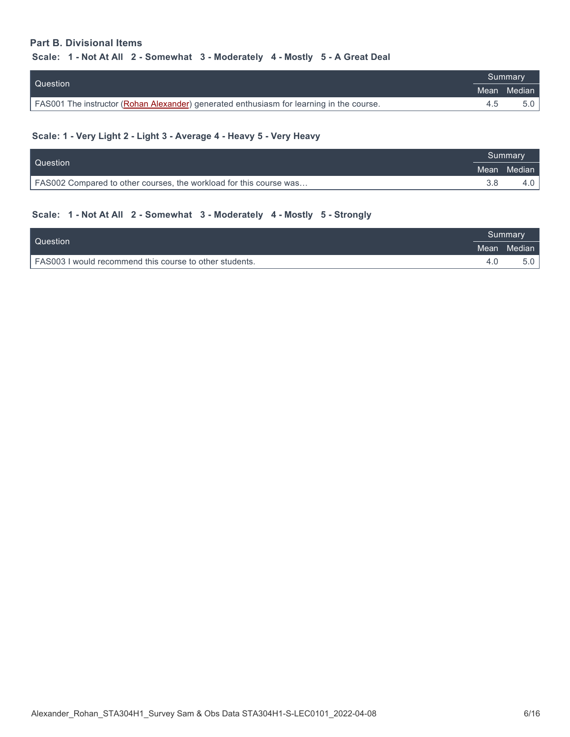## **Part B. Divisional Items**

## **Scale: 1 - Not At All 2 - Somewhat 3 - Moderately 4 - Mostly 5 - A Great Deal**

| Question                                                                                 |  | 'Summarv⊥   |  |
|------------------------------------------------------------------------------------------|--|-------------|--|
|                                                                                          |  | Mean Median |  |
| FAS001 The instructor (Rohan Alexander) generated enthusiasm for learning in the course. |  |             |  |

#### **Scale: 1 - Very Light 2 - Light 3 - Average 4 - Heavy 5 - Very Heavy**

| <b>Question</b>                                                    |  | Summary     |
|--------------------------------------------------------------------|--|-------------|
|                                                                    |  | Mean Median |
| FAS002 Compared to other courses, the workload for this course was |  | 4.U         |

#### **Scale: 1 - Not At All 2 - Somewhat 3 - Moderately 4 - Mostly 5 - Strongly**

| Question                                                | Summary     |  |
|---------------------------------------------------------|-------------|--|
|                                                         | Mean Median |  |
| FAS003 I would recommend this course to other students. |             |  |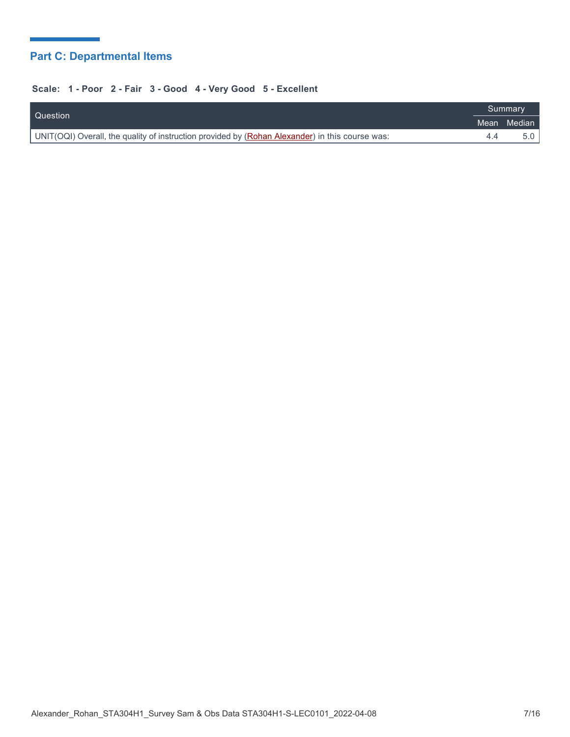# **Part C: Departmental Items**

## **Scale: 1 - Poor 2 - Fair 3 - Good 4 - Very Good 5 - Excellent**

| Question                                                                                          |  | Summary     |  |
|---------------------------------------------------------------------------------------------------|--|-------------|--|
|                                                                                                   |  | Mean Median |  |
| UNIT(OQI) Overall, the quality of instruction provided by $(Rohan Alexander)$ in this course was: |  | 5.0         |  |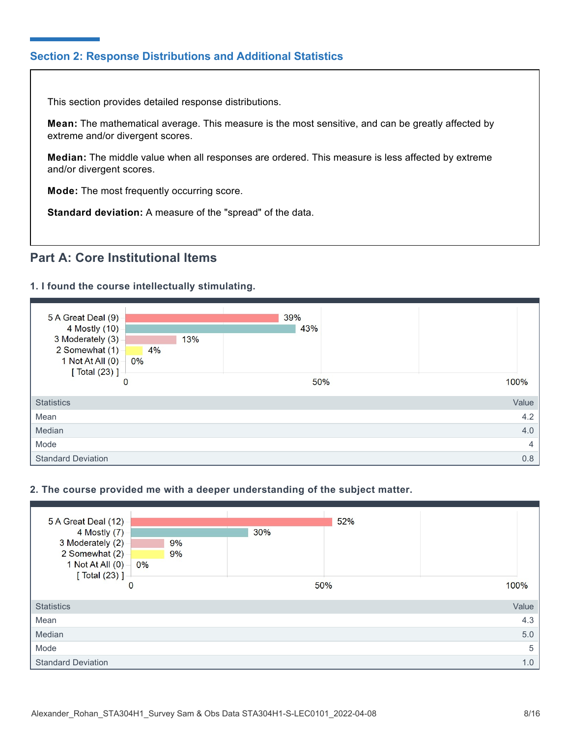## **Section 2: Response Distributions and Additional Statistics**

This section provides detailed response distributions.

**Mean:** The mathematical average. This measure is the most sensitive, and can be greatly affected by extreme and/or divergent scores.

**Median:** The middle value when all responses are ordered. This measure is less affected by extreme and/or divergent scores.

**Mode:** The most frequently occurring score.

**Standard deviation:** A measure of the "spread" of the data.

# **Part A: Core Institutional Items**

### **1. I found the course intellectually stimulating.**



### **2. The course provided me with a deeper understanding of the subject matter.**

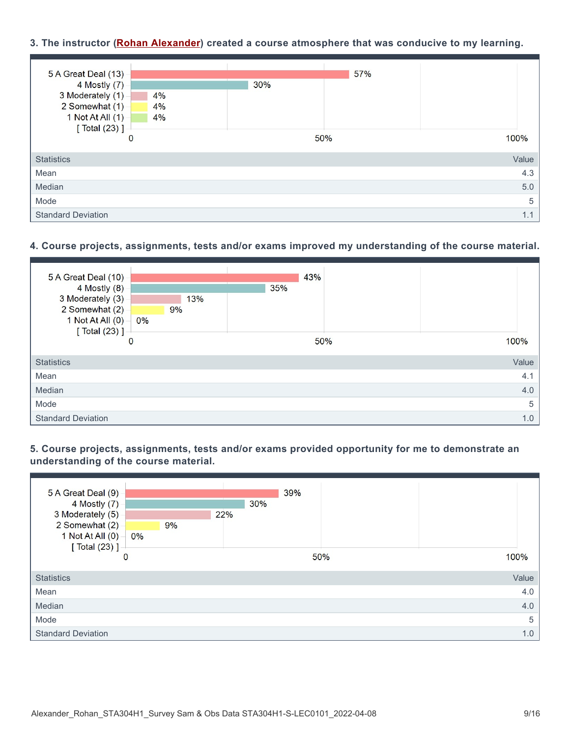## **3. The instructor (Rohan Alexander) created a course atmosphere that was conducive to my learning.**



## **4. Course projects, assignments, tests and/or exams improved my understanding of the course material.**

| 5 A Great Deal (10)<br>4 Mostly (8)<br>3 Moderately (3)<br>2 Somewhat (2)<br>1 Not At All $(0)$<br>$0\%$<br>[ Total (23) ] | 13%<br>9% | 43%<br>35% |       |
|----------------------------------------------------------------------------------------------------------------------------|-----------|------------|-------|
| 0                                                                                                                          |           | 50%        | 100%  |
| <b>Statistics</b>                                                                                                          |           |            | Value |
| Mean                                                                                                                       |           |            | 4.1   |
| Median                                                                                                                     |           |            | 4.0   |
| Mode                                                                                                                       |           |            | 5     |
| <b>Standard Deviation</b>                                                                                                  |           |            | 1.0   |

**5. Course projects, assignments, tests and/or exams provided opportunity for me to demonstrate an understanding of the course material.**

| 5 A Great Deal (9)<br>4 Mostly (7)<br>3 Moderately (5)<br>2 Somewhat (2)<br>1 Not At All (0) -<br>0% | 22%<br>9% | 30% | 39% |       |
|------------------------------------------------------------------------------------------------------|-----------|-----|-----|-------|
| [ Total (23) ]<br>0                                                                                  |           |     | 50% | 100%  |
| <b>Statistics</b>                                                                                    |           |     |     | Value |
| Mean                                                                                                 |           |     |     | 4.0   |
| Median                                                                                               |           |     |     | 4.0   |
| Mode                                                                                                 |           |     |     | 5     |
| <b>Standard Deviation</b>                                                                            |           |     |     | 1.0   |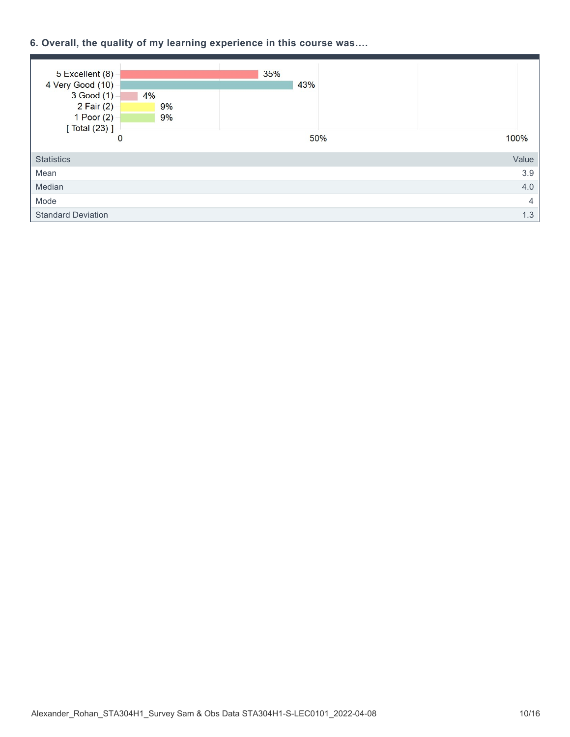## **6. Overall, the quality of my learning experience in this course was….**

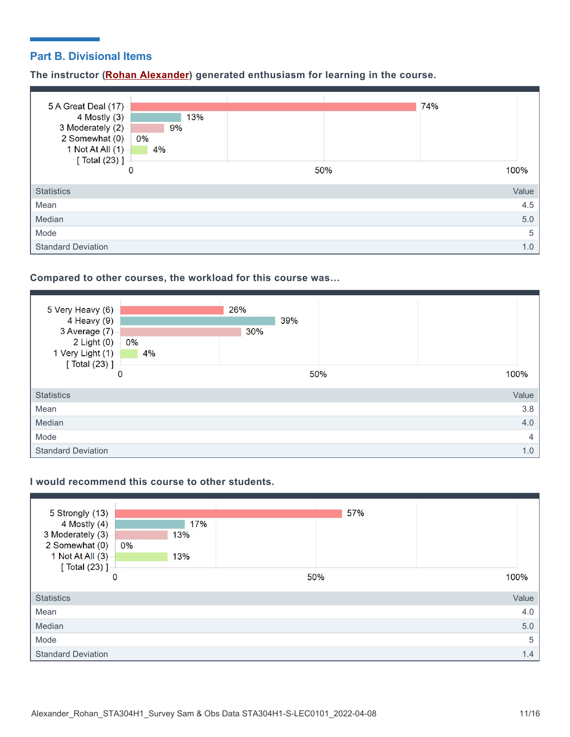## **Part B. Divisional Items**

**The instructor (Rohan Alexander) generated enthusiasm for learning in the course.**



#### **Compared to other courses, the workload for this course was…**



### **I would recommend this course to other students.**

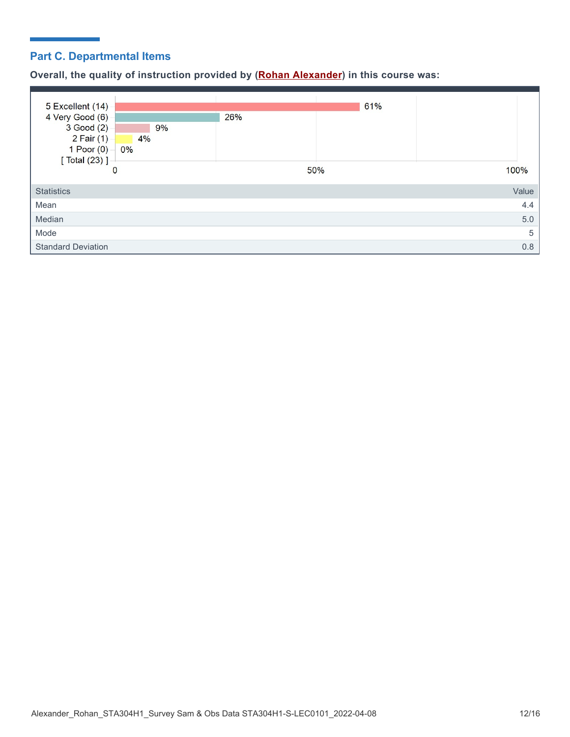# **Part C. Departmental Items**

**Overall, the quality of instruction provided by (Rohan Alexander) in this course was:**

| 5 Excellent (14)<br>4 Very Good (6)<br>3 Good (2)<br>9%<br>$2$ Fair $(1)$<br>4%<br>1 Poor $(0)$<br>0%<br>[ Total (23) ] - | 26% | 61% |       |
|---------------------------------------------------------------------------------------------------------------------------|-----|-----|-------|
| 0                                                                                                                         | 50% |     | 100%  |
| <b>Statistics</b>                                                                                                         |     |     | Value |
| Mean                                                                                                                      |     |     | 4.4   |
| Median                                                                                                                    |     |     | 5.0   |
| Mode                                                                                                                      |     |     | 5     |
| <b>Standard Deviation</b>                                                                                                 |     |     | 0.8   |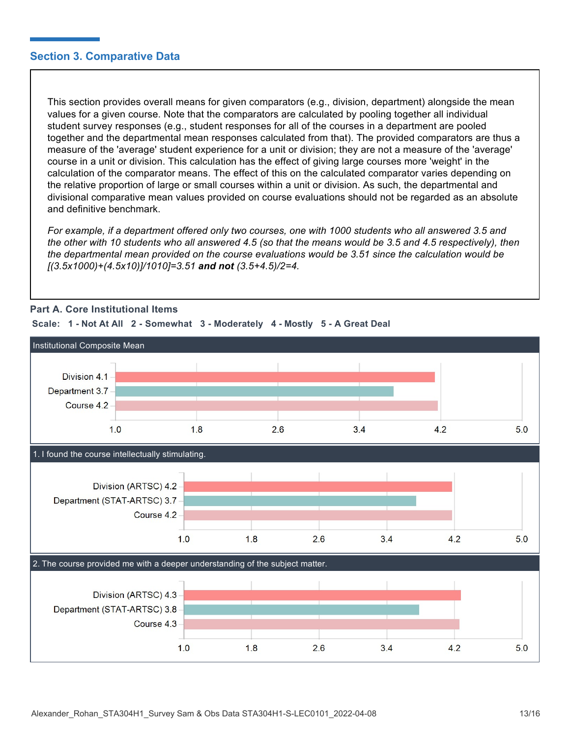## **Section 3. Comparative Data**

This section provides overall means for given comparators (e.g., division, department) alongside the mean values for a given course. Note that the comparators are calculated by pooling together all individual student survey responses (e.g., student responses for all of the courses in a department are pooled together and the departmental mean responses calculated from that). The provided comparators are thus a measure of the 'average' student experience for a unit or division; they are not a measure of the 'average' course in a unit or division. This calculation has the effect of giving large courses more 'weight' in the calculation of the comparator means. The effect of this on the calculated comparator varies depending on the relative proportion of large or small courses within a unit or division. As such, the departmental and divisional comparative mean values provided on course evaluations should not be regarded as an absolute and definitive benchmark.

*For example, if a department offered only two courses, one with 1000 students who all answered 3.5 and the other with 10 students who all answered 4.5 (so that the means would be 3.5 and 4.5 respectively), then the departmental mean provided on the course evaluations would be 3.51 since the calculation would be [(3.5x1000)+(4.5x10)]/1010]=3.51 and not (3.5+4.5)/2=4.*



**Part A. Core Institutional Items**

**Scale: 1 - Not At All 2 - Somewhat 3 - Moderately 4 - Mostly 5 - A Great Deal**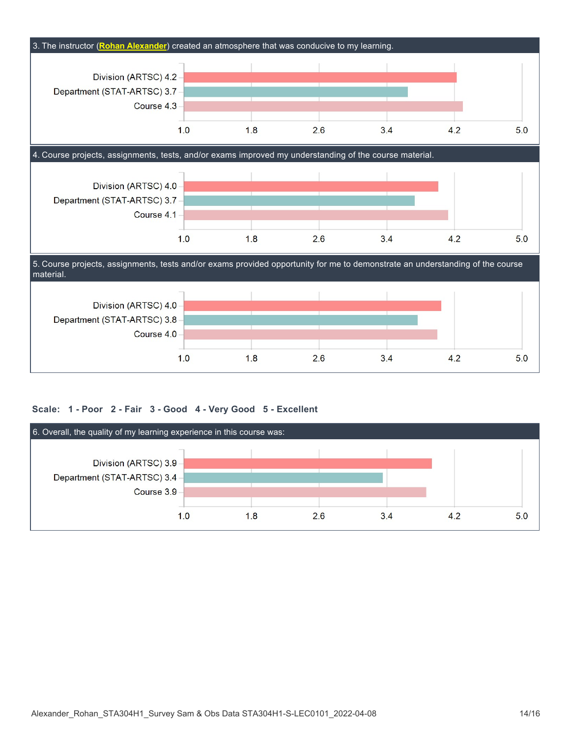

### **Scale: 1 - Poor 2 - Fair 3 - Good 4 - Very Good 5 - Excellent**

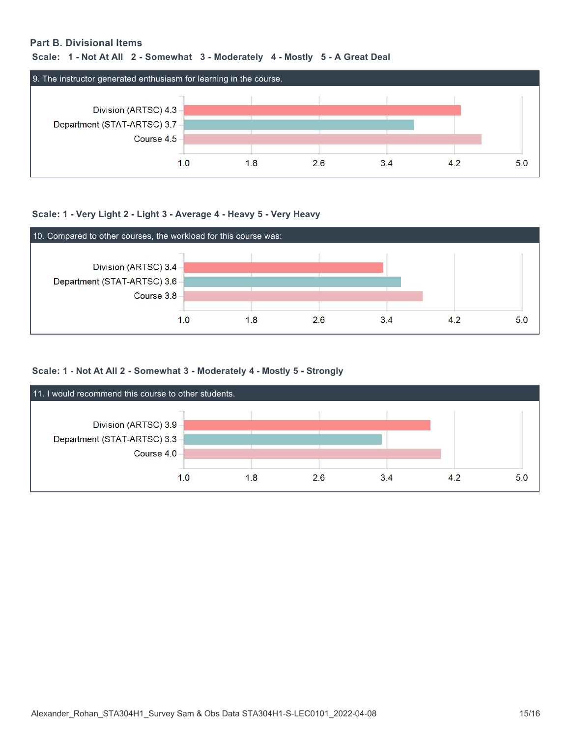### **Part B. Divisional Items**

#### **Scale: 1 - Not At All 2 - Somewhat 3 - Moderately 4 - Mostly 5 - A Great Deal**



#### **Scale: 1 - Very Light 2 - Light 3 - Average 4 - Heavy 5 - Very Heavy**



#### **Scale: 1 - Not At All 2 - Somewhat 3 - Moderately 4 - Mostly 5 - Strongly**